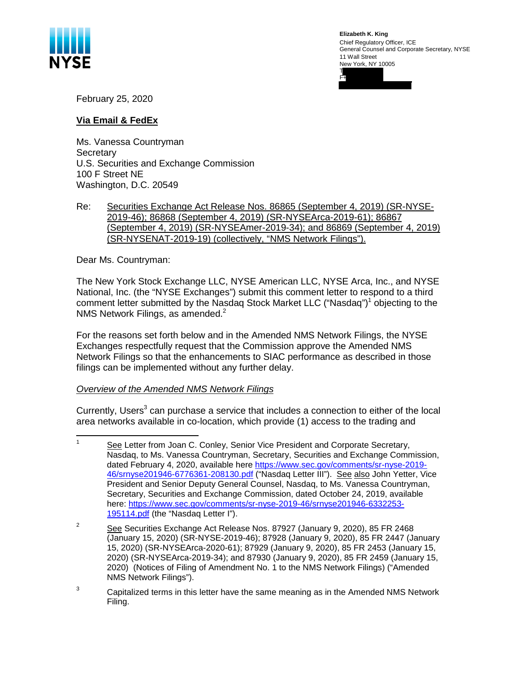

**Elizabeth K. King** Chief Regulatory Officer, ICE General Counsel and Corporate Secretary, NYSE 11 Wall Street New York, NY 10005 T F+

February 25, 2020

## **Via Email & FedEx**

Ms. Vanessa Countryman **Secretary** U.S. Securities and Exchange Commission 100 F Street NE Washington, D.C. 20549

## Re: Securities Exchange Act Release Nos. 86865 (September 4, 2019) (SR-NYSE-2019-46); 86868 (September 4, 2019) (SR-NYSEArca-2019-61); 86867 (September 4, 2019) (SR-NYSEAmer-2019-34); and 86869 (September 4, 2019) (SR-NYSENAT-2019-19) (collectively, "NMS Network Filings").

Dear Ms. Countryman:

The New York Stock Exchange LLC, NYSE American LLC, NYSE Arca, Inc., and NYSE National, Inc. (the "NYSE Exchanges") submit this comment letter to respond to a third comment letter submitted by the Nasdaq Stock Market LLC ("Nasdaq")<sup>1</sup> objecting to the NMS Network Filings, as amended. $2<sup>2</sup>$ 

For the reasons set forth below and in the Amended NMS Network Filings, the NYSE Exchanges respectfully request that the Commission approve the Amended NMS Network Filings so that the enhancements to SIAC performance as described in those filings can be implemented without any further delay.

*Overview of the Amended NMS Network Filings*

Currently, Users<sup>3</sup> can purchase a service that includes a connection to either of the local area networks available in co-location, which provide (1) access to the trading and

 $3$  Capitalized terms in this letter have the same meaning as in the Amended NMS Network Filing.

<sup>1</sup> See Letter from Joan C. Conley, Senior Vice President and Corporate Secretary, Nasdaq, to Ms. Vanessa Countryman, Secretary, Securities and Exchange Commission, dated February 4, 2020, available here https://www.sec.gov/comments/sr-nyse-2019- 46/srnyse201946-6776361-208130.pdf ("Nasdaq Letter III"). See also John Yetter, Vice President and Senior Deputy General Counsel, Nasdaq, to Ms. Vanessa Countryman, Secretary, Securities and Exchange Commission, dated October 24, 2019, available here: https://www.sec.gov/comments/sr-nyse-2019-46/srnyse201946-6332253- 195114.pdf (the "Nasdaq Letter I").

<sup>2</sup> See Securities Exchange Act Release Nos. 87927 (January 9, 2020), 85 FR 2468 (January 15, 2020) (SR-NYSE-2019-46); 87928 (January 9, 2020), 85 FR 2447 (January 15, 2020) (SR-NYSEArca-2020-61); 87929 (January 9, 2020), 85 FR 2453 (January 15, 2020) (SR-NYSEArca-2019-34); and 87930 (January 9, 2020), 85 FR 2459 (January 15, 2020) (Notices of Filing of Amendment No. 1 to the NMS Network Filings) ("Amended NMS Network Filings").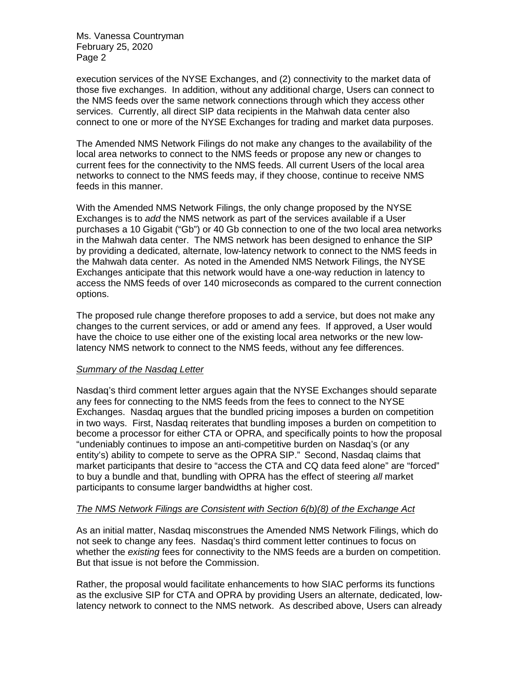Ms. Vanessa Countryman February 25, 2020 Page 2

execution services of the NYSE Exchanges, and (2) connectivity to the market data of those five exchanges. In addition, without any additional charge, Users can connect to the NMS feeds over the same network connections through which they access other services. Currently, all direct SIP data recipients in the Mahwah data center also connect to one or more of the NYSE Exchanges for trading and market data purposes.

The Amended NMS Network Filings do not make any changes to the availability of the local area networks to connect to the NMS feeds or propose any new or changes to current fees for the connectivity to the NMS feeds. All current Users of the local area networks to connect to the NMS feeds may, if they choose, continue to receive NMS feeds in this manner.

With the Amended NMS Network Filings, the only change proposed by the NYSE Exchanges is to *add* the NMS network as part of the services available if a User purchases a 10 Gigabit ("Gb") or 40 Gb connection to one of the two local area networks in the Mahwah data center. The NMS network has been designed to enhance the SIP by providing a dedicated, alternate, low-latency network to connect to the NMS feeds in the Mahwah data center. As noted in the Amended NMS Network Filings, the NYSE Exchanges anticipate that this network would have a one-way reduction in latency to access the NMS feeds of over 140 microseconds as compared to the current connection options.

The proposed rule change therefore proposes to add a service, but does not make any changes to the current services, or add or amend any fees. If approved, a User would have the choice to use either one of the existing local area networks or the new lowlatency NMS network to connect to the NMS feeds, without any fee differences.

## *Summary of the Nasdaq Letter*

Nasdaq's third comment letter argues again that the NYSE Exchanges should separate any fees for connecting to the NMS feeds from the fees to connect to the NYSE Exchanges. Nasdaq argues that the bundled pricing imposes a burden on competition in two ways. First, Nasdaq reiterates that bundling imposes a burden on competition to become a processor for either CTA or OPRA, and specifically points to how the proposal "undeniably continues to impose an anti-competitive burden on Nasdaq's (or any entity's) ability to compete to serve as the OPRA SIP." Second, Nasdaq claims that market participants that desire to "access the CTA and CQ data feed alone" are "forced" to buy a bundle and that, bundling with OPRA has the effect of steering *all* market participants to consume larger bandwidths at higher cost.

## *The NMS Network Filings are Consistent with Section 6(b)(8) of the Exchange Act*

As an initial matter, Nasdaq misconstrues the Amended NMS Network Filings, which do not seek to change any fees. Nasdaq's third comment letter continues to focus on whether the *existing* fees for connectivity to the NMS feeds are a burden on competition. But that issue is not before the Commission.

Rather, the proposal would facilitate enhancements to how SIAC performs its functions as the exclusive SIP for CTA and OPRA by providing Users an alternate, dedicated, lowlatency network to connect to the NMS network. As described above, Users can already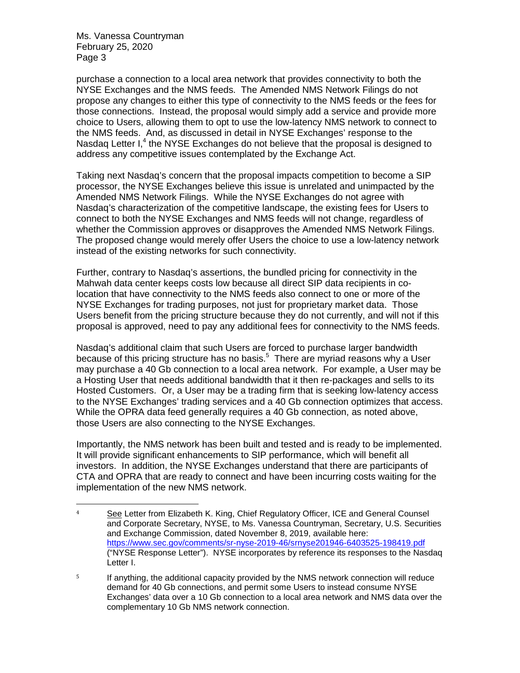Ms. Vanessa Countryman February 25, 2020 Page 3

purchase a connection to a local area network that provides connectivity to both the NYSE Exchanges and the NMS feeds. The Amended NMS Network Filings do not propose any changes to either this type of connectivity to the NMS feeds or the fees for those connections. Instead, the proposal would simply add a service and provide more choice to Users, allowing them to opt to use the low-latency NMS network to connect to the NMS feeds. And, as discussed in detail in NYSE Exchanges' response to the Nasdaq Letter I,<sup>4</sup> the NYSE Exchanges do not believe that the proposal is designed to address any competitive issues contemplated by the Exchange Act.

Taking next Nasdaq's concern that the proposal impacts competition to become a SIP processor, the NYSE Exchanges believe this issue is unrelated and unimpacted by the Amended NMS Network Filings. While the NYSE Exchanges do not agree with Nasdaq's characterization of the competitive landscape, the existing fees for Users to connect to both the NYSE Exchanges and NMS feeds will not change, regardless of whether the Commission approves or disapproves the Amended NMS Network Filings. The proposed change would merely offer Users the choice to use a low-latency network instead of the existing networks for such connectivity.

Further, contrary to Nasdaq's assertions, the bundled pricing for connectivity in the Mahwah data center keeps costs low because all direct SIP data recipients in colocation that have connectivity to the NMS feeds also connect to one or more of the NYSE Exchanges for trading purposes, not just for proprietary market data. Those Users benefit from the pricing structure because they do not currently, and will not if this proposal is approved, need to pay any additional fees for connectivity to the NMS feeds.

Nasdaq's additional claim that such Users are forced to purchase larger bandwidth because of this pricing structure has no basis.<sup>5</sup> There are myriad reasons why a User may purchase a 40 Gb connection to a local area network. For example, a User may be a Hosting User that needs additional bandwidth that it then re-packages and sells to its Hosted Customers. Or, a User may be a trading firm that is seeking low-latency access to the NYSE Exchanges' trading services and a 40 Gb connection optimizes that access. While the OPRA data feed generally requires a 40 Gb connection, as noted above, those Users are also connecting to the NYSE Exchanges.

Importantly, the NMS network has been built and tested and is ready to be implemented. It will provide significant enhancements to SIP performance, which will benefit all investors. In addition, the NYSE Exchanges understand that there are participants of CTA and OPRA that are ready to connect and have been incurring costs waiting for the implementation of the new NMS network.

<sup>&</sup>lt;sup>4</sup> See Letter from Elizabeth K. King, Chief Regulatory Officer, ICE and General Counsel and Corporate Secretary, NYSE, to Ms. Vanessa Countryman, Secretary, U.S. Securities and Exchange Commission, dated November 8, 2019, available here: https://www.sec.gov/comments/sr-nyse-2019-46/srnyse201946-6403525-198419.pdf ("NYSE Response Letter"). NYSE incorporates by reference its responses to the Nasdaq Letter I.

<sup>&</sup>lt;sup>5</sup> If anything, the additional capacity provided by the NMS network connection will reduce demand for 40 Gb connections, and permit some Users to instead consume NYSE Exchanges' data over a 10 Gb connection to a local area network and NMS data over the complementary 10 Gb NMS network connection.